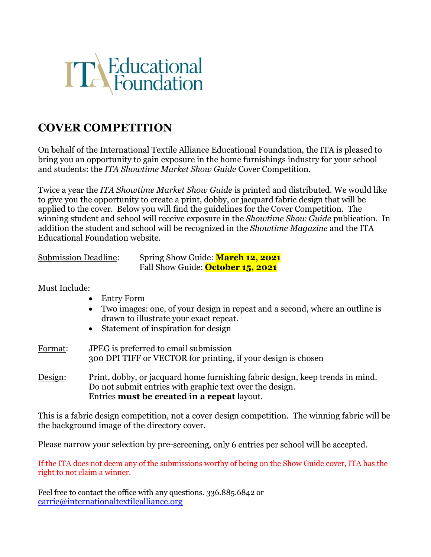

## **COVER COMPETITION**

On behalf of the International Textile Alliance Educational Foundation, the ITA is pleased to bring you an opportunity to gain exposure in the home furnishings industry for your school and students: the *ITA Showtime Market Show Guide* Cover Competition.

Twice a year the *ITA Showtime Market Show Guide* is printed and distributed. We would like to give you the opportunity to create a print, dobby, or jacquard fabric design that will be applied to the cover. Below you will find the guidelines for the Cover Competition. The winning student and school will receive exposure in the *Showtime Show Guide* publication. In addition the student and school will be recognized in the *Showtime Magazine* and the ITA Educational Foundation website.

| <b>Submission Deadline:</b> | Spring Show Guide: March 12, 2021        |
|-----------------------------|------------------------------------------|
|                             | Fall Show Guide: <b>October 15, 2021</b> |

## Must Include:

- Entry Form
- Two images: one, of your design in repeat and a second, where an outline is drawn to illustrate your exact repeat.
- Statement of inspiration for design
- Format: JPEG is preferred to email submission 300 DPI TIFF or VECTOR for printing, if your design is chosen
- Design: Print, dobby, or jacquard home furnishing fabric design, keep trends in mind. Do not submit entries with graphic text over the design. Entries **must be created in a repeat** layout.

This is a fabric design competition, not a cover design competition. The winning fabric will be the background image of the directory cover.

Please narrow your selection by pre-screening, only 6 entries per school will be accepted.

If the ITA does not deem any of the submissions worthy of being on the Show Guide cover, ITA has the right to not claim a winner.

Feel free to contact the office with any questions. 336.885.6842 or [carrie@internationaltextilealliance.org](mailto:cpurgason@itmashowtime.com)